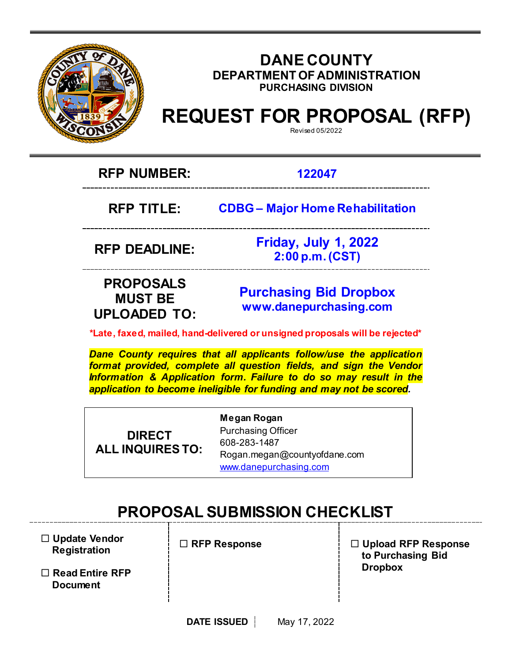

### **DANE COUNTY DEPARTMENT OF ADMINISTRATION PURCHASING DIVISION**

# **REQUEST FOR PROPOSAL (RFP)**

Revised 05/2022

**RFP NUMBER: 122047**

**RFP TITLE: CDBG – Major Home Rehabilitation**

**RFP DEADLINE:** 

**Friday, July 1, 2022 2:00 p.m. (CST)**

## **PROPOSALS MUST BE UPLOADED TO:**

**[Purchasing](mailto:BIDS@COUNTYOFDANE.COM) Bid Dropbox [www.danepurchasing.com](file://daneco.us/dfs/Department/purchasing/Shared/Forms%20&%20Templates/www.danepurchasing.com)**

**\*Late, faxed, mailed, hand-delivered or unsigned proposals will be rejected\***

*Dane County requires that all applicants follow/use the application format provided, complete all question fields, and sign the Vendor Information & Application form. Failure to do so may result in the application to become ineligible for funding and may not be scored.*

**DIRECT ALL INQUIRES TO:** **Megan Rogan** Purchasing Officer 608-283-1487 Rogan.megan@countyofdane.com [www.danepurchasing.com](http://www.danepurchasing.com/)

# **PROPOSAL SUBMISSION CHECKLIST**

- **Update Vendor Registration**
- **Read Entire RFP Document**

**RFP Response**

 **Upload RFP Response to Purchasing Bid Dropbox**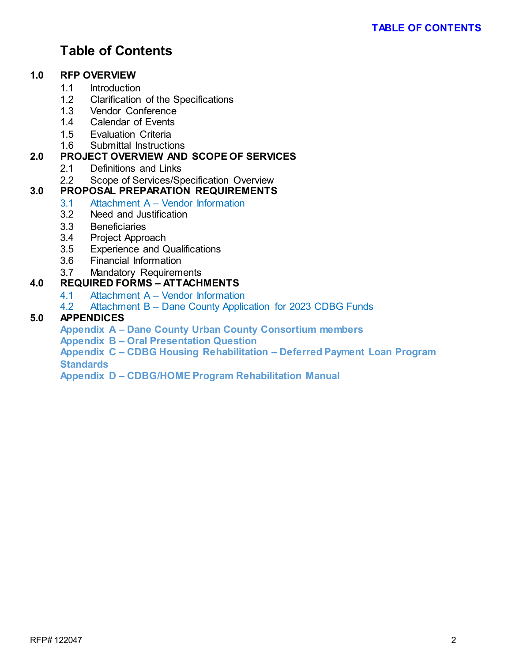# **Table of Contents**

#### **1.0 RFP OVERVIEW**

- 1.1 Introduction<br>1.2 Clarification
- 1.2 Clarification of the Specifications<br>1.3 Vendor Conference
- Vendor Conference
- 1.4 Calendar of Events
- 1.5 Evaluation Criteria
- 1.6 Submittal Instructions

#### **2.0 PROJECT OVERVIEW AND SCOPE OF SERVICES**

- 2.1 Definitions and Links
- 2.2 Scope of Services/Specification Overview

### **3.0 PROPOSAL PREPARATION REQUIREMENTS**

- 3.1 Attachment A Vendor Information
- 3.2 Need and Justification
- 3.3 Beneficiaries
- 3.4 Project Approach
- 3.5 Experience and Qualifications
- 3.6 Financial Information
- 3.7 Mandatory Requirements

#### **4.0 REQUIRED FORMS – ATTACHMENTS**

- 4.1 Attachment A Vendor Information
- 4.2 Attachment B Dane County Application for 2023 CDBG Funds

#### **5.0 APPENDICES**

**Appendix A – Dane County Urban County Consortium members**

**Appendix B – Oral Presentation Question**

**Appendix C – CDBG Housing Rehabilitation – Deferred Payment Loan Program Standards**

**Appendix D – CDBG/HOME Program Rehabilitation Manual**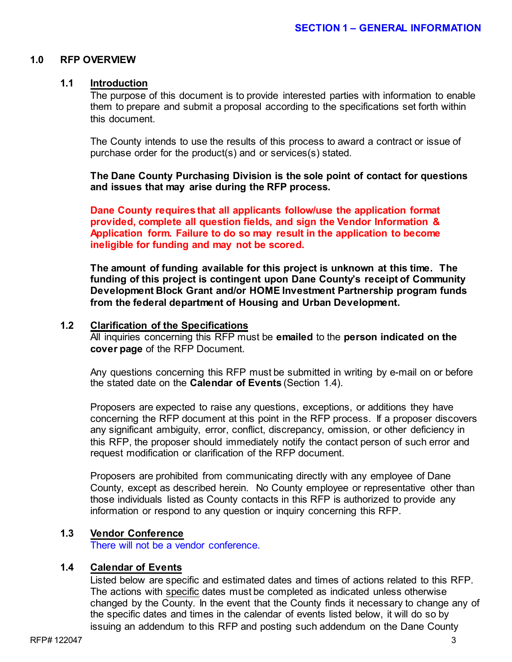#### **1.0 RFP OVERVIEW**

#### **1.1 Introduction**

The purpose of this document is to provide interested parties with information to enable them to prepare and submit a proposal according to the specifications set forth within this document.

The County intends to use the results of this process to award a contract or issue of purchase order for the product(s) and or services(s) stated.

**The Dane County Purchasing Division is the sole point of contact for questions and issues that may arise during the RFP process.**

**Dane County requires that all applicants follow/use the application format provided, complete all question fields, and sign the Vendor Information & Application form. Failure to do so may result in the application to become ineligible for funding and may not be scored.**

**The amount of funding available for this project is unknown at this time. The funding of this project is contingent upon Dane County's receipt of Community Development Block Grant and/or HOME Investment Partnership program funds from the federal department of Housing and Urban Development.**

#### **1.2 Clarification of the Specifications**

All inquiries concerning this RFP must be **emailed** to the **person indicated on the cover page** of the RFP Document.

Any questions concerning this RFP must be submitted in writing by e-mail on or before the stated date on the **Calendar of Events** (Section 1.4).

Proposers are expected to raise any questions, exceptions, or additions they have concerning the RFP document at this point in the RFP process. If a proposer discovers any significant ambiguity, error, conflict, discrepancy, omission, or other deficiency in this RFP, the proposer should immediately notify the contact person of such error and request modification or clarification of the RFP document.

Proposers are prohibited from communicating directly with any employee of Dane County, except as described herein. No County employee or representative other than those individuals listed as County contacts in this RFP is authorized to provide any information or respond to any question or inquiry concerning this RFP.

#### **1.3 Vendor Conference**

There will not be a vendor conference.

#### **1.4 Calendar of Events**

Listed below are specific and estimated dates and times of actions related to this RFP. The actions with specific dates must be completed as indicated unless otherwise changed by the County. In the event that the County finds it necessary to change any of the specific dates and times in the calendar of events listed below, it will do so by issuing an addendum to this RFP and posting such addendum on the Dane County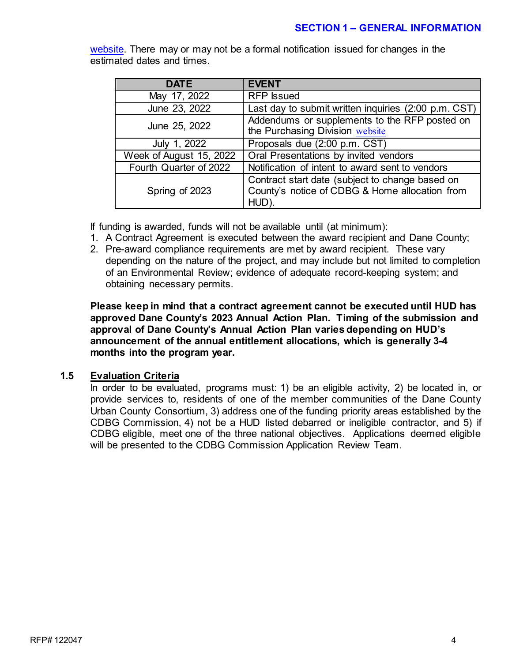#### **SECTION 1 – GENERAL INFORMATION**

| <b>DATE</b>             | <b>EVENT</b>                                                                                               |
|-------------------------|------------------------------------------------------------------------------------------------------------|
| May 17, 2022            | <b>RFP</b> Issued                                                                                          |
| June 23, 2022           | Last day to submit written inquiries (2:00 p.m. CST)                                                       |
| June 25, 2022           | Addendums or supplements to the RFP posted on<br>the Purchasing Division website                           |
| July 1, 2022            | Proposals due (2:00 p.m. CST)                                                                              |
| Week of August 15, 2022 | Oral Presentations by invited vendors                                                                      |
| Fourth Quarter of 2022  | Notification of intent to award sent to vendors                                                            |
| Spring of 2023          | Contract start date (subject to change based on<br>County's notice of CDBG & Home allocation from<br>HUD). |

[website.](http://www.danepurchasing.com/) There may or may not be a formal notification issued for changes in the estimated dates and times.

If funding is awarded, funds will not be available until (at minimum):

- 1. A Contract Agreement is executed between the award recipient and Dane County;
- 2. Pre-award compliance requirements are met by award recipient. These vary depending on the nature of the project, and may include but not limited to completion of an Environmental Review; evidence of adequate record-keeping system; and obtaining necessary permits.

**Please keep in mind that a contract agreement cannot be executed until HUD has approved Dane County's 2023 Annual Action Plan. Timing of the submission and approval of Dane County's Annual Action Plan varies depending on HUD's announcement of the annual entitlement allocations, which is generally 3-4 months into the program year.** 

#### **1.5 Evaluation Criteria**

In order to be evaluated, programs must: 1) be an eligible activity, 2) be located in, or provide services to, residents of one of the member communities of the Dane County Urban County Consortium, 3) address one of the funding priority areas established by the CDBG Commission, 4) not be a HUD listed debarred or ineligible contractor, and 5) if CDBG eligible, meet one of the three national objectives. Applications deemed eligible will be presented to the CDBG Commission Application Review Team.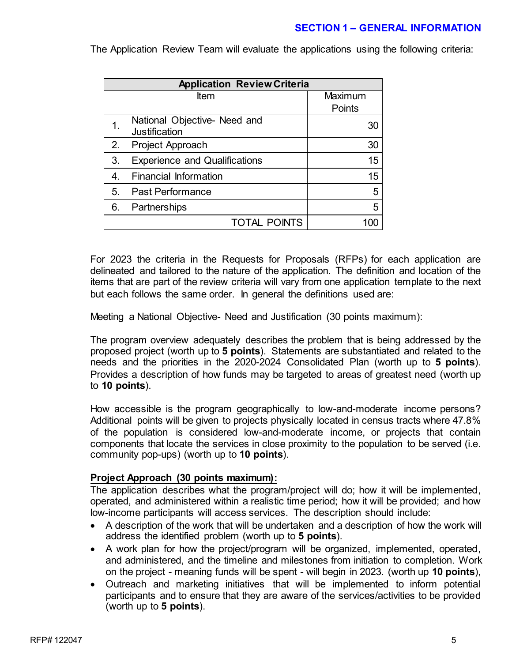#### **SECTION 1 – GENERAL INFORMATION**

**Application Review Criteria** Item Maximum **Points** 1. National Objective- Need and National Objective-Need and<br>Justification 30 2. Project Approach and the state of the 30 3. Experience and Qualifications 15 4. Financial Information 15 5. Past Performance 5 6. Partnerships 5 TOTAL POINTS 100

The Application Review Team will evaluate the applications using the following criteria:

For 2023 the criteria in the Requests for Proposals (RFPs) for each application are delineated and tailored to the nature of the application. The definition and location of the items that are part of the review criteria will vary from one application template to the next but each follows the same order. In general the definitions used are:

#### Meeting a National Objective- Need and Justification (30 points maximum):

The program overview adequately describes the problem that is being addressed by the proposed project (worth up to **5 points**). Statements are substantiated and related to the needs and the priorities in the 2020-2024 Consolidated Plan (worth up to **5 points**). Provides a description of how funds may be targeted to areas of greatest need (worth up to **10 points**).

How accessible is the program geographically to low-and-moderate income persons? Additional points will be given to projects physically located in census tracts where 47.8% of the population is considered low-and-moderate income, or projects that contain components that locate the services in close proximity to the population to be served (i.e. community pop-ups) (worth up to **10 points**).

#### **Project Approach (30 points maximum):**

The application describes what the program/project will do; how it will be implemented, operated, and administered within a realistic time period; how it will be provided; and how low-income participants will access services. The description should include:

- A description of the work that will be undertaken and a description of how the work will address the identified problem (worth up to **5 points**).
- A work plan for how the project/program will be organized, implemented, operated, and administered, and the timeline and milestones from initiation to completion. Work on the project - meaning funds will be spent - will begin in 2023. (worth up **10 points**),
- Outreach and marketing initiatives that will be implemented to inform potential participants and to ensure that they are aware of the services/activities to be provided (worth up to **5 points**).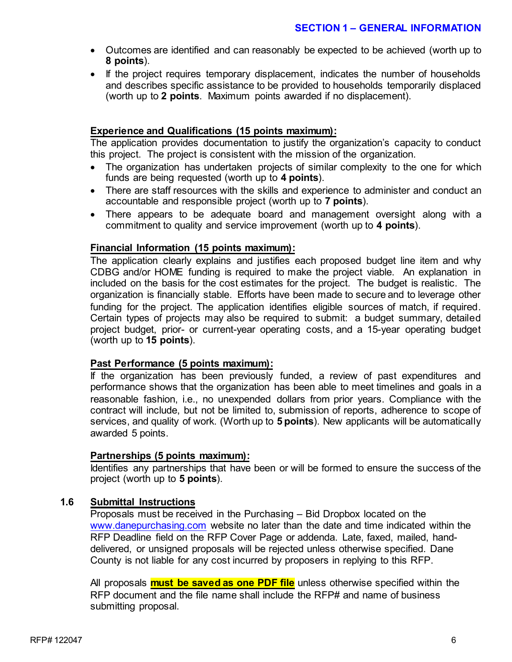- Outcomes are identified and can reasonably be expected to be achieved (worth up to **8 points**).
- If the project requires temporary displacement, indicates the number of households and describes specific assistance to be provided to households temporarily displaced (worth up to **2 points**. Maximum points awarded if no displacement).

#### **Experience and Qualifications (15 points maximum):**

The application provides documentation to justify the organization's capacity to conduct this project. The project is consistent with the mission of the organization.

- The organization has undertaken projects of similar complexity to the one for which funds are being requested (worth up to **4 points**).
- There are staff resources with the skills and experience to administer and conduct an accountable and responsible project (worth up to **7 points**).
- There appears to be adequate board and management oversight along with a commitment to quality and service improvement (worth up to **4 points**).

#### **Financial Information (15 points maximum):**

The application clearly explains and justifies each proposed budget line item and why CDBG and/or HOME funding is required to make the project viable. An explanation in included on the basis for the cost estimates for the project. The budget is realistic. The organization is financially stable. Efforts have been made to secure and to leverage other funding for the project. The application identifies eligible sources of match, if required. Certain types of projects may also be required to submit: a budget summary, detailed project budget, prior- or current-year operating costs, and a 15-year operating budget (worth up to **15 points**).

#### **Past Performance (5 points maximum):**

If the organization has been previously funded, a review of past expenditures and performance shows that the organization has been able to meet timelines and goals in a reasonable fashion, i.e., no unexpended dollars from prior years. Compliance with the contract will include, but not be limited to, submission of reports, adherence to scope of services, and quality of work. (Worth up to **5 points**). New applicants will be automatically awarded 5 points.

#### **Partnerships (5 points maximum):**

Identifies any partnerships that have been or will be formed to ensure the success of the project (worth up to **5 points**).

#### **1.6 Submittal Instructions**

Proposals must be received in the Purchasing – Bid Dropbox located on the [www.danepurchasing.com](http://www.danepurchasing.com/) website no later than the date and time indicated within the RFP Deadline field on the RFP Cover Page or addenda. Late, faxed, mailed, handdelivered, or unsigned proposals will be rejected unless otherwise specified. Dane County is not liable for any cost incurred by proposers in replying to this RFP.

All proposals **must be saved as one PDF file** unless otherwise specified within the RFP document and the file name shall include the RFP# and name of business submitting proposal.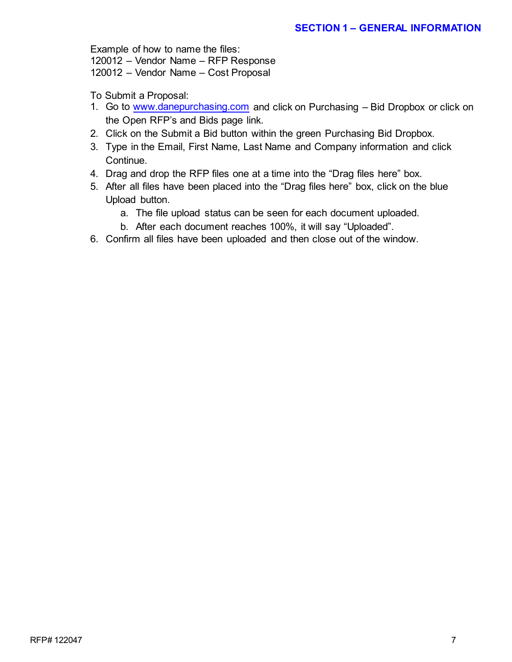Example of how to name the files:

120012 – Vendor Name – RFP Response

120012 – Vendor Name – Cost Proposal

To Submit a Proposal:

- 1. Go to [www.danepurchasing.com](http://www.danepurchasing.com/) and click on Purchasing Bid Dropbox or click on the Open RFP's and Bids page link.
- 2. Click on the Submit a Bid button within the green Purchasing Bid Dropbox.
- 3. Type in the Email, First Name, Last Name and Company information and click Continue.
- 4. Drag and drop the RFP files one at a time into the "Drag files here" box.
- 5. After all files have been placed into the "Drag files here" box, click on the blue Upload button.
	- a. The file upload status can be seen for each document uploaded.
	- b. After each document reaches 100%, it will say "Uploaded".
- 6. Confirm all files have been uploaded and then close out of the window.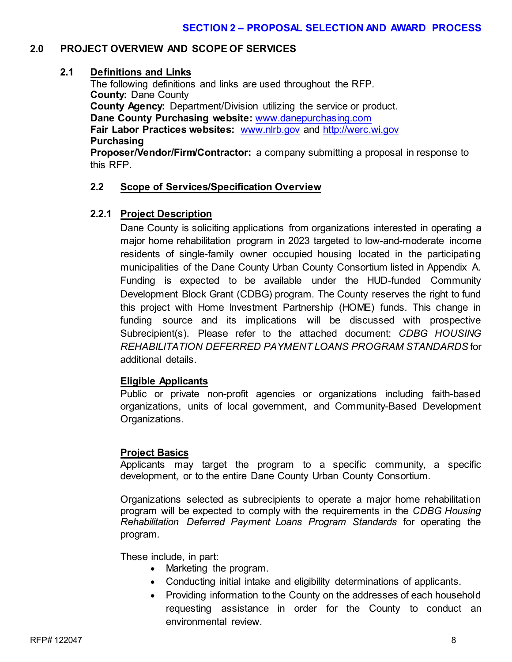#### **2.0 PROJECT OVERVIEW AND SCOPE OF SERVICES**

#### **2.1 Definitions and Links**

The following definitions and links are used throughout the RFP. **County:** Dane County **County Agency:** Department/Division utilizing the service or product. **Dane County Purchasing website:** [www.danepurchasing.com](http://www.danepurchasing.com/) **Fair Labor Practices websites:** [www.nlrb.gov](http://www.nlrb.gov/) and [http://werc.wi.gov](http://werc.wi.gov/) **Purchasing**

**Proposer/Vendor/Firm/Contractor:** a company submitting a proposal in response to this RFP.

#### **2.2 Scope of Services/Specification Overview**

#### **2.2.1 Project Description**

Dane County is soliciting applications from organizations interested in operating a major home rehabilitation program in 2023 targeted to low-and-moderate income residents of single-family owner occupied housing located in the participating municipalities of the Dane County Urban County Consortium listed in Appendix A. Funding is expected to be available under the HUD-funded Community Development Block Grant (CDBG) program. The County reserves the right to fund this project with Home Investment Partnership (HOME) funds. This change in funding source and its implications will be discussed with prospective Subrecipient(s). Please refer to the attached document: *CDBG HOUSING REHABILITATION DEFERRED PAYMENT LOANS PROGRAM STANDARDS* for additional details.

#### **Eligible Applicants**

Public or private non-profit agencies or organizations including faith-based organizations, units of local government, and Community-Based Development Organizations.

#### **Project Basics**

Applicants may target the program to a specific community, a specific development, or to the entire Dane County Urban County Consortium.

Organizations selected as subrecipients to operate a major home rehabilitation program will be expected to comply with the requirements in the *CDBG Housing Rehabilitation Deferred Payment Loans Program Standards* for operating the program*.*

These include, in part:

- Marketing the program.
- Conducting initial intake and eligibility determinations of applicants.
- Providing information to the County on the addresses of each household requesting assistance in order for the County to conduct an environmental review.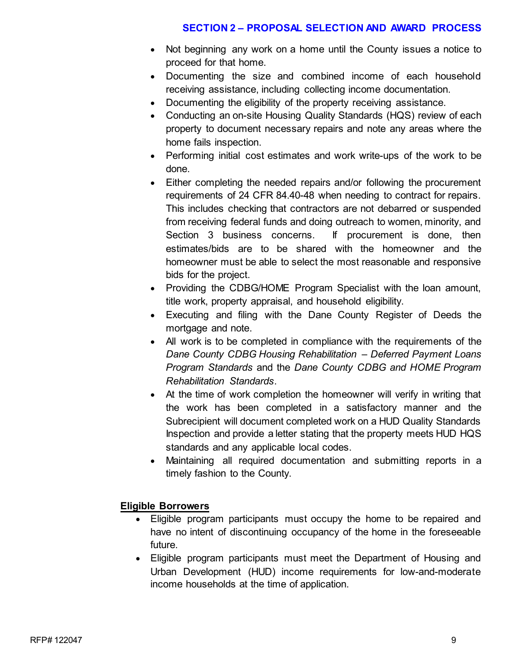- Not beginning any work on a home until the County issues a notice to proceed for that home.
- Documenting the size and combined income of each household receiving assistance, including collecting income documentation.
- Documenting the eligibility of the property receiving assistance.
- Conducting an on-site Housing Quality Standards (HQS) review of each property to document necessary repairs and note any areas where the home fails inspection.
- Performing initial cost estimates and work write-ups of the work to be done.
- Either completing the needed repairs and/or following the procurement requirements of 24 CFR 84.40-48 when needing to contract for repairs. This includes checking that contractors are not debarred or suspended from receiving federal funds and doing outreach to women, minority, and Section 3 business concerns. If procurement is done, then estimates/bids are to be shared with the homeowner and the homeowner must be able to select the most reasonable and responsive bids for the project.
- Providing the CDBG/HOME Program Specialist with the loan amount, title work, property appraisal, and household eligibility.
- Executing and filing with the Dane County Register of Deeds the mortgage and note.
- All work is to be completed in compliance with the requirements of the *Dane County CDBG Housing Rehabilitation – Deferred Payment Loans Program Standards* and the *Dane County CDBG and HOME Program Rehabilitation Standards*.
- At the time of work completion the homeowner will verify in writing that the work has been completed in a satisfactory manner and the Subrecipient will document completed work on a HUD Quality Standards Inspection and provide a letter stating that the property meets HUD HQS standards and any applicable local codes.
- Maintaining all required documentation and submitting reports in a timely fashion to the County.

#### **Eligible Borrowers**

- Eligible program participants must occupy the home to be repaired and have no intent of discontinuing occupancy of the home in the foreseeable future.
- Eligible program participants must meet the Department of Housing and Urban Development (HUD) income requirements for low-and-moderate income households at the time of application.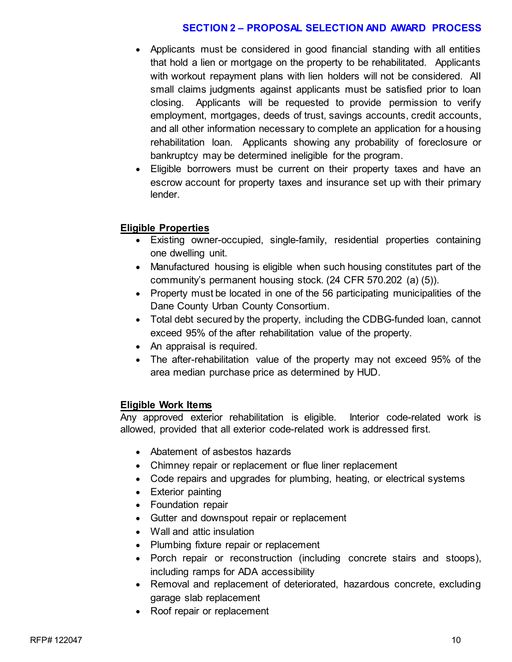- Applicants must be considered in good financial standing with all entities that hold a lien or mortgage on the property to be rehabilitated. Applicants with workout repayment plans with lien holders will not be considered. All small claims judgments against applicants must be satisfied prior to loan closing. Applicants will be requested to provide permission to verify employment, mortgages, deeds of trust, savings accounts, credit accounts, and all other information necessary to complete an application for a housing rehabilitation loan. Applicants showing any probability of foreclosure or bankruptcy may be determined ineligible for the program.
- Eligible borrowers must be current on their property taxes and have an escrow account for property taxes and insurance set up with their primary lender.

#### **Eligible Properties**

- Existing owner-occupied, single-family, residential properties containing one dwelling unit.
- Manufactured housing is eligible when such housing constitutes part of the community's permanent housing stock. (24 CFR 570.202 (a) (5)).
- Property must be located in one of the 56 participating municipalities of the Dane County Urban County Consortium.
- Total debt secured by the property, including the CDBG-funded loan, cannot exceed 95% of the after rehabilitation value of the property.
- An appraisal is required.
- The after-rehabilitation value of the property may not exceed 95% of the area median purchase price as determined by HUD.

#### **Eligible Work Items**

Any approved exterior rehabilitation is eligible. Interior code-related work is allowed, provided that all exterior code-related work is addressed first.

- Abatement of asbestos hazards
- Chimney repair or replacement or flue liner replacement
- Code repairs and upgrades for plumbing, heating, or electrical systems
- Exterior painting
- Foundation repair
- Gutter and downspout repair or replacement
- Wall and attic insulation
- Plumbing fixture repair or replacement
- Porch repair or reconstruction (including concrete stairs and stoops), including ramps for ADA accessibility
- Removal and replacement of deteriorated, hazardous concrete, excluding garage slab replacement
- Roof repair or replacement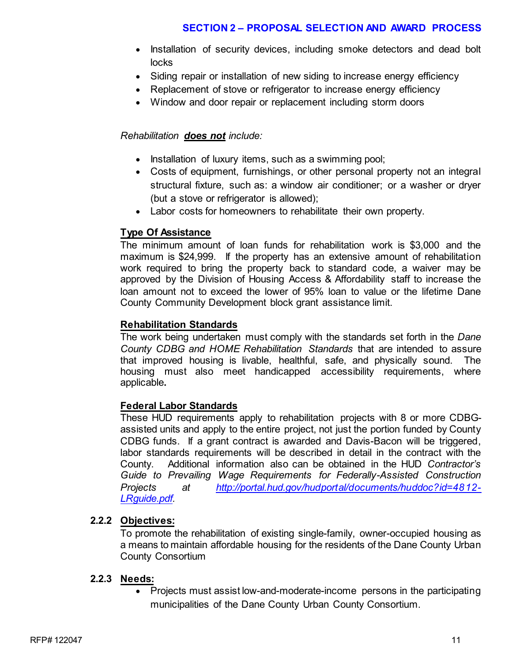- Installation of security devices, including smoke detectors and dead bolt locks
- Siding repair or installation of new siding to increase energy efficiency
- Replacement of stove or refrigerator to increase energy efficiency
- Window and door repair or replacement including storm doors

#### *Rehabilitation does not include:*

- Installation of luxury items, such as a swimming pool;
- Costs of equipment, furnishings, or other personal property not an integral structural fixture, such as: a window air conditioner; or a washer or dryer (but a stove or refrigerator is allowed);
- Labor costs for homeowners to rehabilitate their own property.

#### **Type Of Assistance**

The minimum amount of loan funds for rehabilitation work is \$3,000 and the maximum is \$24,999. If the property has an extensive amount of rehabilitation work required to bring the property back to standard code, a waiver may be approved by the Division of Housing Access & Affordability staff to increase the loan amount not to exceed the lower of 95% loan to value or the lifetime Dane County Community Development block grant assistance limit.

#### **Rehabilitation Standards**

The work being undertaken must comply with the standards set forth in the *Dane County CDBG and HOME Rehabilitation Standards* that are intended to assure that improved housing is livable, healthful, safe, and physically sound. The housing must also meet handicapped accessibility requirements, where applicable**.** 

#### **Federal Labor Standards**

These HUD requirements apply to rehabilitation projects with 8 or more CDBGassisted units and apply to the entire project, not just the portion funded by County CDBG funds. If a grant contract is awarded and Davis-Bacon will be triggered, labor standards requirements will be described in detail in the contract with the County. Additional information also can be obtained in the HUD *Contractor's Guide to Prevailing Wage Requirements for Federally-Assisted Construction Projects at [http://portal.hud.gov/hudportal/documents/huddoc?id=4812-](http://portal.hud.gov/hudportal/documents/huddoc?id=4812-LRguide.pdf) [LRguide.pdf.](http://portal.hud.gov/hudportal/documents/huddoc?id=4812-LRguide.pdf)*

#### **2.2.2 Objectives:**

To promote the rehabilitation of existing single-family, owner-occupied housing as a means to maintain affordable housing for the residents of the Dane County Urban County Consortium

#### **2.2.3 Needs:**

• Projects must assist low-and-moderate-income persons in the participating municipalities of the Dane County Urban County Consortium.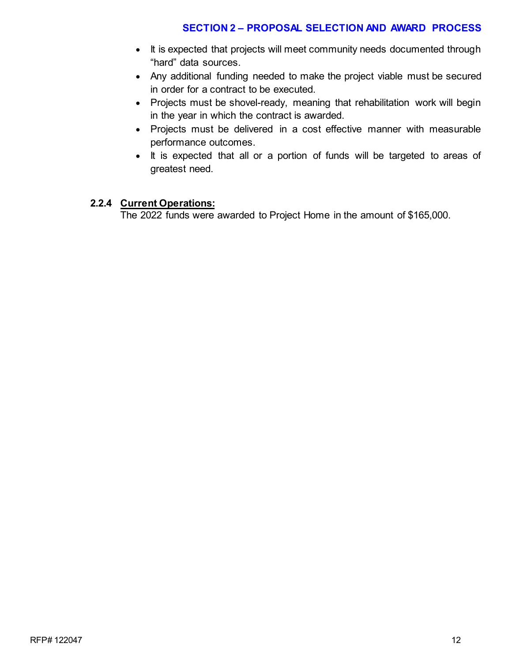- It is expected that projects will meet community needs documented through "hard" data sources.
- Any additional funding needed to make the project viable must be secured in order for a contract to be executed.
- Projects must be shovel-ready, meaning that rehabilitation work will begin in the year in which the contract is awarded.
- Projects must be delivered in a cost effective manner with measurable performance outcomes.
- It is expected that all or a portion of funds will be targeted to areas of greatest need.

#### **2.2.4 Current Operations:**

The 2022 funds were awarded to Project Home in the amount of \$165,000.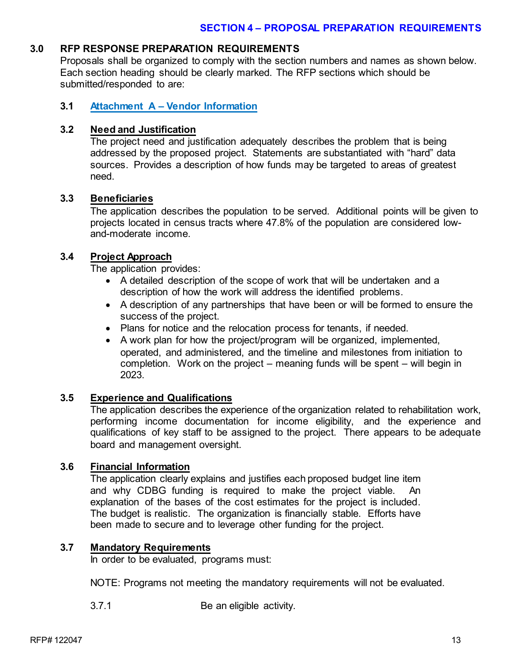#### **3.0 RFP RESPONSE PREPARATION REQUIREMENTS**

Proposals shall be organized to comply with the section numbers and names as shown below. Each section heading should be clearly marked. The RFP sections which should be submitted/responded to are:

#### **3.1 Attachment A – Vendor Information**

#### **3.2 Need and Justification**

The project need and justification adequately describes the problem that is being addressed by the proposed project. Statements are substantiated with "hard" data sources. Provides a description of how funds may be targeted to areas of greatest need.

#### **3.3 Beneficiaries**

The application describes the population to be served. Additional points will be given to projects located in census tracts where 47.8% of the population are considered lowand-moderate income.

#### **3.4 Project Approach**

The application provides:

- A detailed description of the scope of work that will be undertaken and a description of how the work will address the identified problems.
- A description of any partnerships that have been or will be formed to ensure the success of the project.
- Plans for notice and the relocation process for tenants, if needed.
- A work plan for how the project/program will be organized, implemented, operated, and administered, and the timeline and milestones from initiation to completion. Work on the project – meaning funds will be spent – will begin in 2023.

#### **3.5 Experience and Qualifications**

The application describes the experience of the organization related to rehabilitation work, performing income documentation for income eligibility, and the experience and qualifications of key staff to be assigned to the project. There appears to be adequate board and management oversight.

#### **3.6 Financial Information**

The application clearly explains and justifies each proposed budget line item and why CDBG funding is required to make the project viable. An explanation of the bases of the cost estimates for the project is included. The budget is realistic. The organization is financially stable. Efforts have been made to secure and to leverage other funding for the project.

#### **3.7 Mandatory Requirements**

In order to be evaluated, programs must:

NOTE: Programs not meeting the mandatory requirements will not be evaluated.

3.7.1 Be an eligible activity.